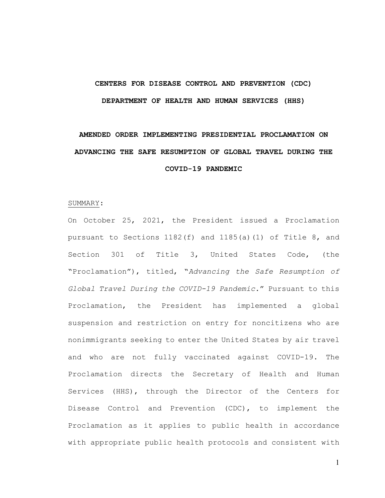# **CENTERS FOR DISEASE CONTROL AND PREVENTION (CDC) DEPARTMENT OF HEALTH AND HUMAN SERVICES (HHS)**

# **AMENDED ORDER IMPLEMENTING PRESIDENTIAL PROCLAMATION ON ADVANCING THE SAFE RESUMPTION OF GLOBAL TRAVEL DURING THE COVID-19 PANDEMIC**

#### SUMMARY:

On October 25, 2021, the President issued a Proclamation pursuant to Sections  $1182(f)$  and  $1185(a)(1)$  of Title 8, and Section 301 of Title 3, United States Code, (the "Proclamation"), titled, "*Advancing the Safe Resumption of Global Travel During the COVID-19 Pandemic*." Pursuant to this Proclamation, the President has implemented a global suspension and restriction on entry for noncitizens who are nonimmigrants seeking to enter the United States by air travel and who are not fully vaccinated against COVID-19. The Proclamation directs the Secretary of Health and Human Services (HHS), through the Director of the Centers for Disease Control and Prevention (CDC), to implement the Proclamation as it applies to public health in accordance with appropriate public health protocols and consistent with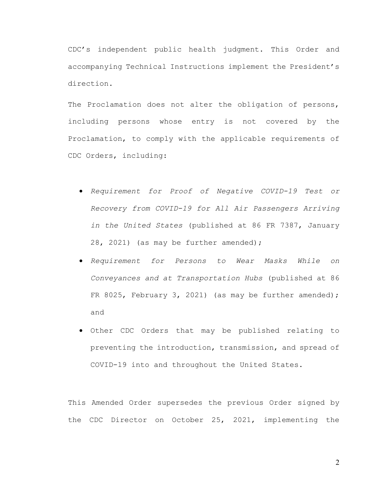CDC's independent public health judgment. This Order and accompanying Technical Instructions implement the President's direction.

The Proclamation does not alter the obligation of persons, including persons whose entry is not covered by the Proclamation, to comply with the applicable requirements of CDC Orders, including:

- *Requirement for Proof of Negative COVID-19 Test or Recovery from COVID-19 for All Air Passengers Arriving in the United States* (published at 86 FR 7387, January 28, 2021) (as may be further amended);
- *Requirement for Persons to Wear Masks While on Conveyances and at Transportation Hubs* (published at 86 FR 8025, February 3, 2021) (as may be further amended); and
- Other CDC Orders that may be published relating to preventing the introduction, transmission, and spread of COVID-19 into and throughout the United States.

This Amended Order supersedes the previous Order signed by the CDC Director on October 25, 2021, implementing the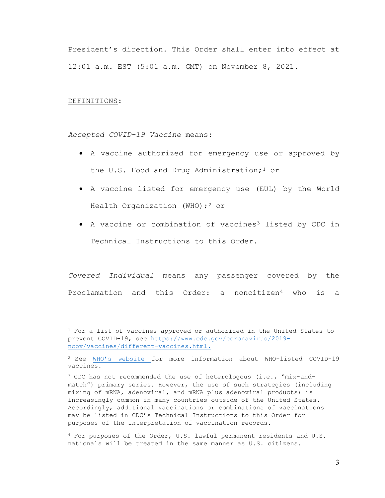President's direction. This Order shall enter into effect at 12:01 a.m. EST (5:01 a.m. GMT) on November 8, 2021.

#### DEFINITIONS:

*Accepted COVID-19 Vaccine* means:

- A vaccine authorized for emergency use or approved by the U.S. Food and Drug Administration;<sup>[1](#page-2-0)</sup> or
- A vaccine listed for emergency use (EUL) by the World Health Organization (WHO);<sup>[2](#page-2-1)</sup> or
- A vaccine or combination of vaccines<sup>[3](#page-2-2)</sup> listed by CDC in Technical Instructions to this Order.

*Covered Individual* means any passenger covered by the Proclamation and this Order: a noncitizen[4](#page-2-3) who is a

<span id="page-2-0"></span><sup>1</sup> For a list of vaccines approved or authorized in the United States to prevent COVID-19, see [https://www.cdc.gov/coronavirus/2019](https://www.cdc.gov/coronavirus/2019-ncov/vaccines/different-vaccines.html) [ncov/vaccines/different-vaccines.html.](https://www.cdc.gov/coronavirus/2019-ncov/vaccines/different-vaccines.html)

<span id="page-2-1"></span><sup>2</sup> See [WHO's website f](https://www.who.int/emergencies/diseases/novel-coronavirus-2019/question-and-answers-hub/q-a-detail/coronavirus-disease-(covid-19)-vaccines)or more information about WHO-listed COVID-19 vaccines.

<span id="page-2-2"></span><sup>3</sup> CDC has not recommended the use of heterologous (i.e., "mix-andmatch") primary series. However, the use of such strategies (including mixing of mRNA, adenoviral, and mRNA plus adenoviral products) is increasingly common in many countries outside of the United States. Accordingly, additional vaccinations or combinations of vaccinations may be listed in CDC's Technical Instructions to this Order for purposes of the interpretation of vaccination records.

<span id="page-2-3"></span><sup>4</sup> For purposes of the Order, U.S. lawful permanent residents and U.S. nationals will be treated in the same manner as U.S. citizens.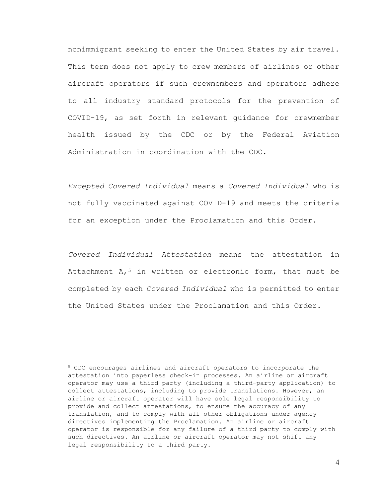nonimmigrant seeking to enter the United States by air travel. This term does not apply to crew members of airlines or other aircraft operators if such crewmembers and operators adhere to all industry standard protocols for the prevention of COVID-19, as set forth in relevant guidance for crewmember health issued by the CDC or by the Federal Aviation Administration in coordination with the CDC.

*Excepted Covered Individual* means a *Covered Individual* who is not fully vaccinated against COVID-19 and meets the criteria for an exception under the Proclamation and this Order.

*Covered Individual Attestation* means the attestation in Attachment  $A_t$ <sup>[5](#page-3-0)</sup> in written or electronic form, that must be completed by each *Covered Individual* who is permitted to enter the United States under the Proclamation and this Order.

<span id="page-3-0"></span><sup>5</sup> CDC encourages airlines and aircraft operators to incorporate the attestation into paperless check-in processes. An airline or aircraft operator may use a third party (including a third-party application) to collect attestations, including to provide translations. However, an airline or aircraft operator will have sole legal responsibility to provide and collect attestations, to ensure the accuracy of any translation, and to comply with all other obligations under agency directives implementing the Proclamation. An airline or aircraft operator is responsible for any failure of a third party to comply with such directives. An airline or aircraft operator may not shift any legal responsibility to a third party.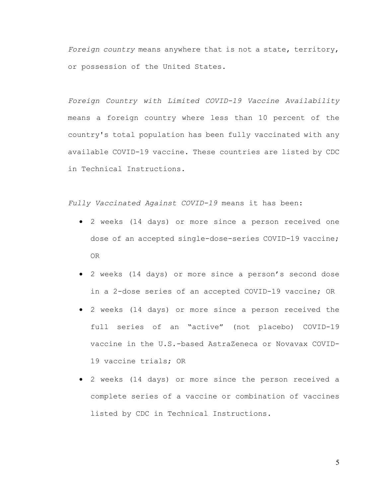*Foreign country* means anywhere that is not a state, territory, or possession of the United States.

*Foreign Country with Limited COVID-19 Vaccine Availability* means a foreign country where less than 10 percent of the country's total population has been fully vaccinated with any available COVID-19 vaccine. These countries are listed by CDC in Technical Instructions.

*Fully Vaccinated Against COVID-19* means it has been:

- 2 weeks (14 days) or more since a person received one dose of an accepted single-dose-series COVID-19 vaccine; OR
- 2 weeks (14 days) or more since a person's second dose in a 2-dose series of an accepted COVID-19 vaccine; OR
- 2 weeks (14 days) or more since a person received the full series of an "active" (not placebo) COVID-19 vaccine in the U.S.-based AstraZeneca or Novavax COVID-19 vaccine trials; OR
- 2 weeks (14 days) or more since the person received a complete series of a vaccine or combination of vaccines listed by CDC in Technical Instructions.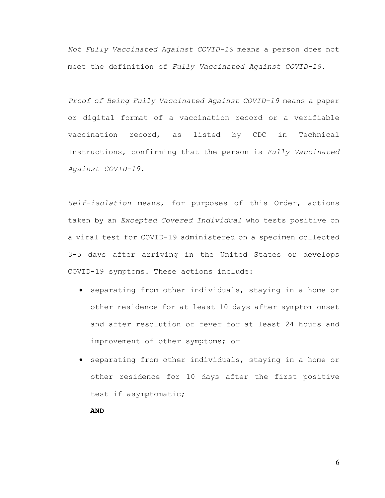*Not Fully Vaccinated Against COVID-19* means a person does not meet the definition of *Fully Vaccinated Against COVID-19*.

*Proof of Being Fully Vaccinated Against COVID-19* means a paper or digital format of a vaccination record or a verifiable vaccination record, as listed by CDC in Technical Instructions, confirming that the person is *Fully Vaccinated Against COVID-19.* 

*Self-isolation* means, for purposes of this Order, actions taken by an *Excepted Covered Individual* who tests positive on a viral test for COVID-19 administered on a specimen collected 3-5 days after arriving in the United States or develops COVID-19 symptoms. These actions include:

- separating from other individuals, staying in a home or other residence for at least 10 days after symptom onset and after resolution of fever for at least 24 hours and improvement of other symptoms; or
- separating from other individuals, staying in a home or other residence for 10 days after the first positive test if asymptomatic;

**AND**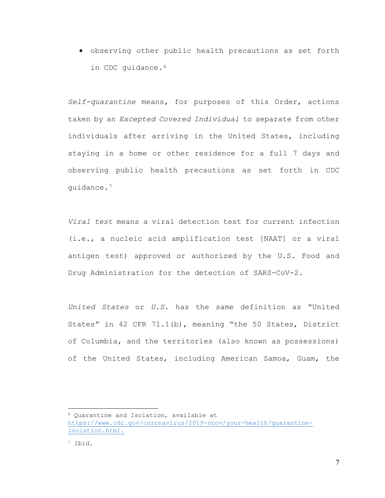• observing other public health precautions as set forth in CDC quidance.<sup>[6](#page-6-0)</sup>

*Self-quarantine* means, for purposes of this Order, actions taken by an *Excepted Covered Individual* to separate from other individuals after arriving in the United States, including staying in a home or other residence for a full 7 days and observing public health precautions as set forth in CDC guidance.[7](#page-6-1)

*Viral test* means a viral detection test for current infection (i.e., a nucleic acid amplification test [NAAT] or a viral antigen test) approved or authorized by the U.S. Food and Drug Administration for the detection of SARS-CoV-2.

*United States* or *U.S.* has the same definition as "United States" in 42 CFR 71.1(b), meaning "the 50 States, District of Columbia, and the territories (also known as possessions) of the United States, including American Samoa, Guam, the

<span id="page-6-0"></span><sup>6</sup> Quarantine and Isolation, available at [https://www.cdc.gov/coronavirus/2019-ncov/your-health/quarantine](https://www.cdc.gov/coronavirus/2019-ncov/your-health/quarantine-isolation.html)[isolation.html.](https://www.cdc.gov/coronavirus/2019-ncov/your-health/quarantine-isolation.html)

<span id="page-6-1"></span><sup>7</sup> *Ibid*.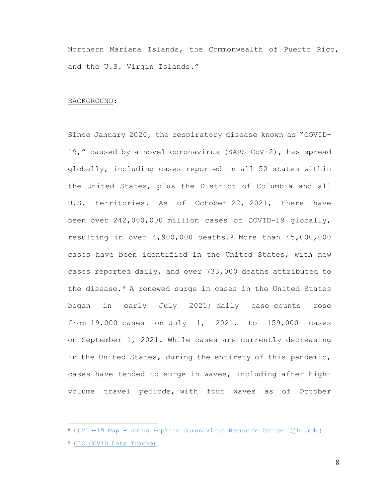Northern Mariana Islands, the Commonwealth of Puerto Rico, and the U.S. Virgin Islands."

#### BACKGROUND:

Since January 2020, the respiratory disease known as "COVID-19," caused by a novel coronavirus (SARS-CoV-2), has spread globally, including cases reported in all 50 states within the United States, plus the District of Columbia and all U.S. territories. As of October 22, 2021, there have been over 242,000,000 million cases of COVID-19 globally, resulting in over 4,900,000 deaths[.8](#page-7-0) More than 45,000,000 cases have been identified in the United States, with new cases reported daily, and over 733,000 deaths attributed to the disease.[9](#page-7-1) A renewed surge in cases in the United States began in early July 2021; daily case counts rose from 19,000 cases on July 1, 2021, to 159,000 cases on September 1, 2021. While cases are currently decreasing in the United States, during the entirety of this pandemic, cases have tended to surge in waves, including after highvolume travel periods, with four waves as of October

<span id="page-7-0"></span><sup>8</sup> COVID-19 Map - [Johns Hopkins Coronavirus Resource Center \(jhu.edu\)](https://coronavirus.jhu.edu/map.html)

<span id="page-7-1"></span><sup>9</sup> [CDC COVID Data Tracker](https://covid.cdc.gov/covid-data-tracker/#datatracker-home)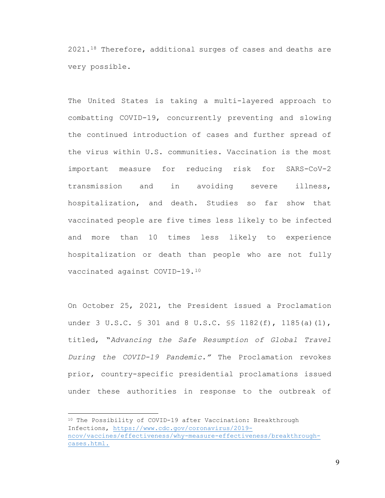$2021.18$  Therefore, additional surges of cases and deaths are very possible.

The United States is taking a multi-layered approach to combatting COVID-19, concurrently preventing and slowing the continued introduction of cases and further spread of the virus within U.S. communities. Vaccination is the most important measure for reducing risk for SARS-CoV-2 transmission and in avoiding severe illness, hospitalization, and death. Studies so far show that vaccinated people are five times less likely to be infected and more than 10 times less likely to experience hospitalization or death than people who are not fully vaccinated against COVID-19.[10](#page-8-0)

On October 25, 2021, the President issued a Proclamation under 3 U.S.C. § 301 and 8 U.S.C. \$\$ 1182(f), 1185(a)(1), titled, "*Advancing the Safe Resumption of Global Travel During the COVID-19 Pandemic."* The Proclamation revokes prior, country-specific presidential proclamations issued under these authorities in response to the outbreak of

<span id="page-8-0"></span><sup>10</sup> The Possibility of COVID-19 after Vaccination: Breakthrough Infections, [https://www.cdc.gov/coronavirus/2019](https://www.cdc.gov/coronavirus/2019-ncov/vaccines/effectiveness/why-measure-effectiveness/breakthrough-cases.html) [ncov/vaccines/effectiveness/why-measure-effectiveness/breakthrough](https://www.cdc.gov/coronavirus/2019-ncov/vaccines/effectiveness/why-measure-effectiveness/breakthrough-cases.html)[cases.html.](https://www.cdc.gov/coronavirus/2019-ncov/vaccines/effectiveness/why-measure-effectiveness/breakthrough-cases.html)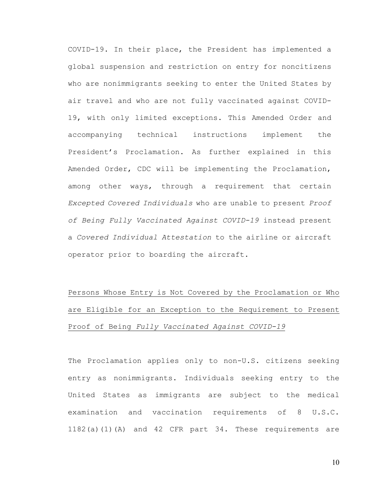COVID-19. In their place, the President has implemented a global suspension and restriction on entry for noncitizens who are nonimmigrants seeking to enter the United States by air travel and who are not fully vaccinated against COVID-19, with only limited exceptions. This Amended Order and accompanying technical instructions implement the President's Proclamation. As further explained in this Amended Order, CDC will be implementing the Proclamation, among other ways, through a requirement that certain *Excepted Covered Individuals* who are unable to present *Proof of Being Fully Vaccinated Against COVID-19* instead present a *Covered Individual Attestation* to the airline or aircraft operator prior to boarding the aircraft.

Persons Whose Entry is Not Covered by the Proclamation or Who are Eligible for an Exception to the Requirement to Present Proof of Being *Fully Vaccinated Against COVID-19*

The Proclamation applies only to non-U.S. citizens seeking entry as nonimmigrants. Individuals seeking entry to the United States as immigrants are subject to the medical examination and vaccination requirements of 8 U.S.C. 1182(a)(1)(A) and 42 CFR part 34. These requirements are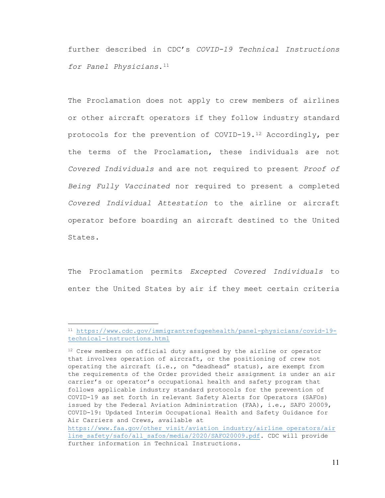further described in CDC's *COVID-19 Technical Instructions for Panel Physicians*.[11](#page-10-0)

The Proclamation does not apply to crew members of airlines or other aircraft operators if they follow industry standard protocols for the prevention of COVID-19.[12](#page-10-1) Accordingly, per the terms of the Proclamation, these individuals are not *Covered Individuals* and are not required to present *Proof of Being Fully Vaccinated* nor required to present a completed *Covered Individual Attestation* to the airline or aircraft operator before boarding an aircraft destined to the United States.

The Proclamation permits *Excepted Covered Individuals* to enter the United States by air if they meet certain criteria

<span id="page-10-0"></span><sup>11</sup> [https://www.cdc.gov/immigrantrefugeehealth/panel-physicians/covid-19](https://www.cdc.gov/immigrantrefugeehealth/panel-physicians/covid-19-technical-instructions.html) [technical-instructions.html](https://www.cdc.gov/immigrantrefugeehealth/panel-physicians/covid-19-technical-instructions.html)

<span id="page-10-1"></span><sup>&</sup>lt;sup>12</sup> Crew members on official duty assigned by the airline or operator that involves operation of aircraft, or the positioning of crew not operating the aircraft (i.e., on "deadhead" status), are exempt from the requirements of the Order provided their assignment is under an air carrier's or operator's occupational health and safety program that follows applicable industry standard protocols for the prevention of COVID-19 as set forth in relevant Safety Alerts for Operators (SAFOs) issued by the Federal Aviation Administration (FAA), i.e., SAFO 20009, COVID-19: Updated Interim Occupational Health and Safety Guidance for Air Carriers and Crews, available at

[https://www.faa.gov/other\\_visit/aviation\\_industry/airline\\_operators/air](https://www.faa.gov/other_visit/aviation_industry/airline_operators/airline_safety/safo/all_safos/media/2020/SAFO20009.pdf) [line\\_safety/safo/all\\_safos/media/2020/SAFO20009.pdf.](https://www.faa.gov/other_visit/aviation_industry/airline_operators/airline_safety/safo/all_safos/media/2020/SAFO20009.pdf) CDC\_will provide further information in Technical Instructions.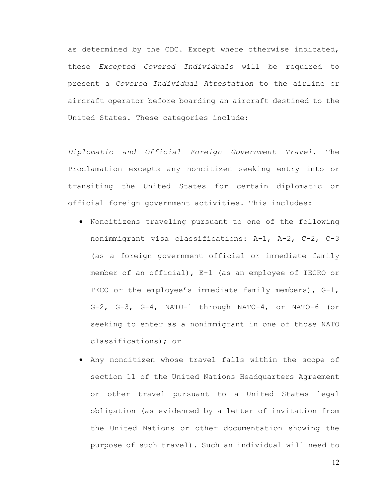as determined by the CDC. Except where otherwise indicated, these *Excepted Covered Individuals* will be required to present a *Covered Individual Attestation* to the airline or aircraft operator before boarding an aircraft destined to the United States. These categories include:

*Diplomatic and Official Foreign Government Travel.* The Proclamation excepts any noncitizen seeking entry into or transiting the United States for certain diplomatic or official foreign government activities. This includes:

- Noncitizens traveling pursuant to one of the following nonimmigrant visa classifications: A-1, A-2, C-2, C-3 (as a foreign government official or immediate family member of an official), E-1 (as an employee of TECRO or TECO or the employee's immediate family members), G-1, G-2, G-3, G-4, NATO-1 through NATO-4, or NATO-6 (or seeking to enter as a nonimmigrant in one of those NATO classifications); or
- Any noncitizen whose travel falls within the scope of section 11 of the United Nations Headquarters Agreement or other travel pursuant to a United States legal obligation (as evidenced by a letter of invitation from the United Nations or other documentation showing the purpose of such travel). Such an individual will need to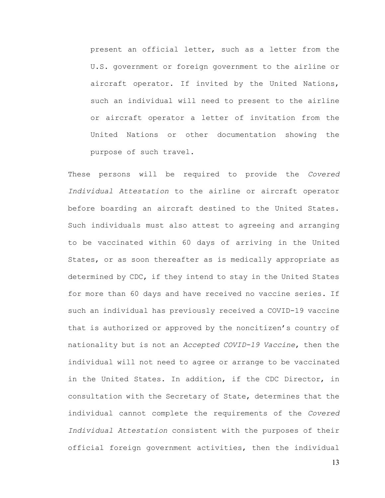present an official letter, such as a letter from the U.S. government or foreign government to the airline or aircraft operator. If invited by the United Nations, such an individual will need to present to the airline or aircraft operator a letter of invitation from the United Nations or other documentation showing the purpose of such travel.

These persons will be required to provide the *Covered Individual Attestation* to the airline or aircraft operator before boarding an aircraft destined to the United States. Such individuals must also attest to agreeing and arranging to be vaccinated within 60 days of arriving in the United States, or as soon thereafter as is medically appropriate as determined by CDC, if they intend to stay in the United States for more than 60 days and have received no vaccine series. If such an individual has previously received a COVID-19 vaccine that is authorized or approved by the noncitizen's country of nationality but is not an *Accepted COVID-19 Vaccine*, then the individual will not need to agree or arrange to be vaccinated in the United States. In addition, if the CDC Director, in consultation with the Secretary of State, determines that the individual cannot complete the requirements of the *Covered Individual Attestation* consistent with the purposes of their official foreign government activities, then the individual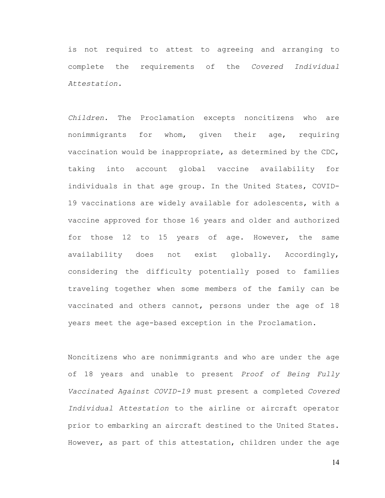is not required to attest to agreeing and arranging to complete the requirements of the *Covered Individual Attestation.*

*Children*. The Proclamation excepts noncitizens who are nonimmigrants for whom, given their age, requiring vaccination would be inappropriate, as determined by the CDC, taking into account global vaccine availability for individuals in that age group. In the United States, COVID-19 vaccinations are widely available for adolescents, with a vaccine approved for those 16 years and older and authorized for those 12 to 15 years of age. However, the same availability does not exist globally. Accordingly, considering the difficulty potentially posed to families traveling together when some members of the family can be vaccinated and others cannot, persons under the age of 18 years meet the age-based exception in the Proclamation.

Noncitizens who are nonimmigrants and who are under the age of 18 years and unable to present *Proof of Being Fully Vaccinated Against COVID-19* must present a completed *Covered Individual Attestation* to the airline or aircraft operator prior to embarking an aircraft destined to the United States. However, as part of this attestation, children under the age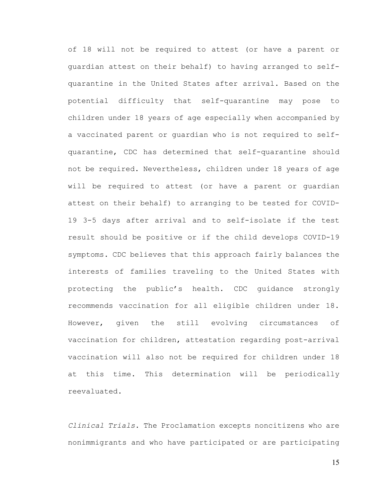of 18 will not be required to attest (or have a parent or guardian attest on their behalf) to having arranged to selfquarantine in the United States after arrival. Based on the potential difficulty that self-quarantine may pose to children under 18 years of age especially when accompanied by a vaccinated parent or guardian who is not required to selfquarantine, CDC has determined that self-quarantine should not be required. Nevertheless, children under 18 years of age will be required to attest (or have a parent or guardian attest on their behalf) to arranging to be tested for COVID-19 3-5 days after arrival and to self-isolate if the test result should be positive or if the child develops COVID-19 symptoms. CDC believes that this approach fairly balances the interests of families traveling to the United States with protecting the public's health. CDC guidance strongly recommends vaccination for all eligible children under 18. However, given the still evolving circumstances of vaccination for children, attestation regarding post-arrival vaccination will also not be required for children under 18 at this time. This determination will be periodically reevaluated.

*Clinical Trials*. The Proclamation excepts noncitizens who are nonimmigrants and who have participated or are participating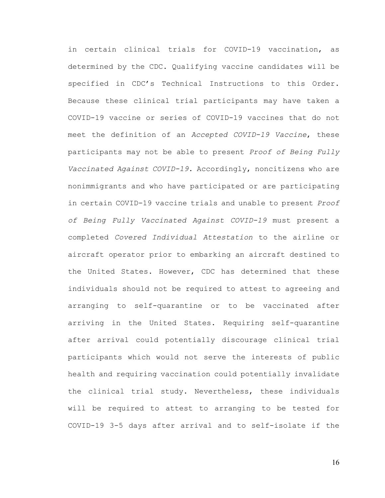in certain clinical trials for COVID-19 vaccination, as determined by the CDC. Qualifying vaccine candidates will be specified in CDC's Technical Instructions to this Order. Because these clinical trial participants may have taken a COVID-19 vaccine or series of COVID-19 vaccines that do not meet the definition of an *Accepted COVID-19 Vaccine*, these participants may not be able to present *Proof of Being Fully Vaccinated Against COVID-19*. Accordingly, noncitizens who are nonimmigrants and who have participated or are participating in certain COVID-19 vaccine trials and unable to present *Proof of Being Fully Vaccinated Against COVID-19* must present a completed *Covered Individual Attestation* to the airline or aircraft operator prior to embarking an aircraft destined to the United States. However, CDC has determined that these individuals should not be required to attest to agreeing and arranging to self-quarantine or to be vaccinated after arriving in the United States. Requiring self-quarantine after arrival could potentially discourage clinical trial participants which would not serve the interests of public health and requiring vaccination could potentially invalidate the clinical trial study. Nevertheless, these individuals will be required to attest to arranging to be tested for COVID-19 3-5 days after arrival and to self-isolate if the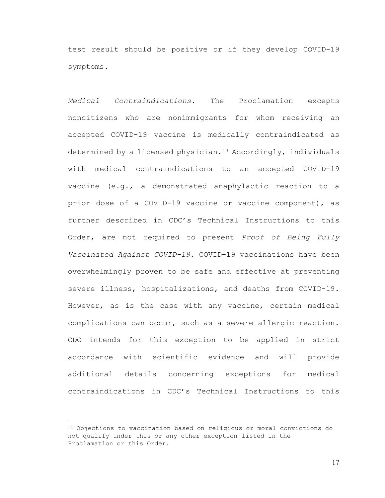test result should be positive or if they develop COVID-19 symptoms.

*Medical Contraindications*. The Proclamation excepts noncitizens who are nonimmigrants for whom receiving an accepted COVID-19 vaccine is medically contraindicated as determined by a licensed physician.<sup>[13](#page-16-0)</sup> Accordingly, individuals with medical contraindications to an accepted COVID-19 vaccine (e.g., a demonstrated anaphylactic reaction to a prior dose of a COVID-19 vaccine or vaccine component), as further described in CDC's Technical Instructions to this Order, are not required to present *Proof of Being Fully Vaccinated Against COVID-19*. COVID-19 vaccinations have been overwhelmingly proven to be safe and effective at preventing severe illness, hospitalizations, and deaths from COVID-19. However, as is the case with any vaccine, certain medical complications can occur, such as a severe allergic reaction. CDC intends for this exception to be applied in strict accordance with scientific evidence and will provide additional details concerning exceptions for medical contraindications in CDC's Technical Instructions to this

<span id="page-16-0"></span><sup>13</sup> Objections to vaccination based on religious or moral convictions do not qualify under this or any other exception listed in the Proclamation or this Order.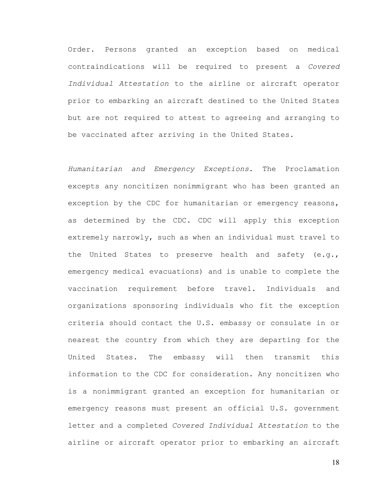Order. Persons granted an exception based on medical contraindications will be required to present a *Covered Individual Attestation* to the airline or aircraft operator prior to embarking an aircraft destined to the United States but are not required to attest to agreeing and arranging to be vaccinated after arriving in the United States.

*Humanitarian and Emergency Exceptions*. The Proclamation excepts any noncitizen nonimmigrant who has been granted an exception by the CDC for humanitarian or emergency reasons, as determined by the CDC. CDC will apply this exception extremely narrowly, such as when an individual must travel to the United States to preserve health and safety (e.g., emergency medical evacuations) and is unable to complete the vaccination requirement before travel. Individuals and organizations sponsoring individuals who fit the exception criteria should contact the U.S. embassy or consulate in or nearest the country from which they are departing for the United States. The embassy will then transmit this information to the CDC for consideration. Any noncitizen who is a nonimmigrant granted an exception for humanitarian or emergency reasons must present an official U.S. government letter and a completed *Covered Individual Attestation* to the airline or aircraft operator prior to embarking an aircraft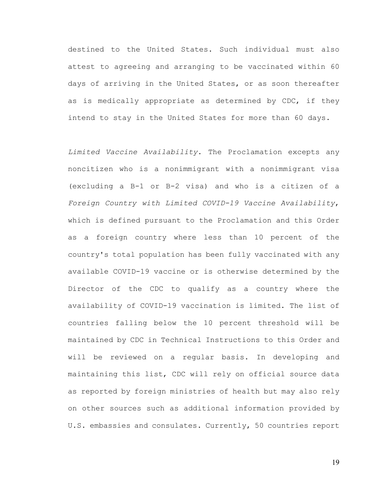destined to the United States. Such individual must also attest to agreeing and arranging to be vaccinated within 60 days of arriving in the United States, or as soon thereafter as is medically appropriate as determined by CDC, if they intend to stay in the United States for more than 60 days.

*Limited Vaccine Availability*. The Proclamation excepts any noncitizen who is a nonimmigrant with a nonimmigrant visa (excluding a B-1 or B-2 visa) and who is a citizen of a *Foreign Country with Limited COVID-19 Vaccine Availability*, which is defined pursuant to the Proclamation and this Order as a foreign country where less than 10 percent of the country's total population has been fully vaccinated with any available COVID-19 vaccine or is otherwise determined by the Director of the CDC to qualify as a country where the availability of COVID-19 vaccination is limited. The list of countries falling below the 10 percent threshold will be maintained by CDC in Technical Instructions to this Order and will be reviewed on a regular basis. In developing and maintaining this list, CDC will rely on official source data as reported by foreign ministries of health but may also rely on other sources such as additional information provided by U.S. embassies and consulates. Currently, 50 countries report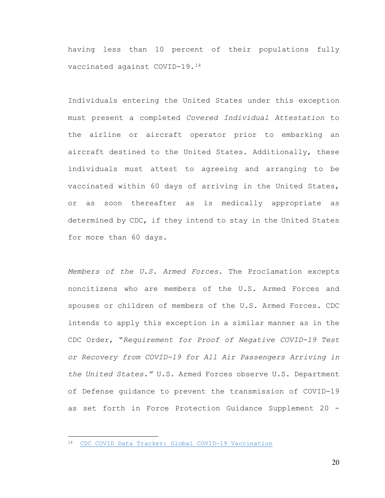having less than 10 percent of their populations fully vaccinated against COVID-19.[14](#page-19-0)

Individuals entering the United States under this exception must present a completed *Covered Individual Attestation* to the airline or aircraft operator prior to embarking an aircraft destined to the United States. Additionally, these individuals must attest to agreeing and arranging to be vaccinated within 60 days of arriving in the United States, or as soon thereafter as is medically appropriate as determined by CDC, if they intend to stay in the United States for more than 60 days.

*Members of the U.S. Armed Forces*. The Proclamation excepts noncitizens who are members of the U.S. Armed Forces and spouses or children of members of the U.S. Armed Forces. CDC intends to apply this exception in a similar manner as in the CDC Order, "*Requirement for Proof of Negative COVID-19 Test or Recovery from COVID-19 for All Air Passengers Arriving in the United States."* U.S. Armed Forces observe U.S. Department of Defense guidance to prevent the transmission of COVID-19 as set forth in Force Protection Guidance Supplement 20 -

<span id="page-19-0"></span><sup>14</sup> [CDC COVID Data Tracker: Global COVID-19 Vaccination](https://covid.cdc.gov/covid-data-tracker/#global-vaccinations)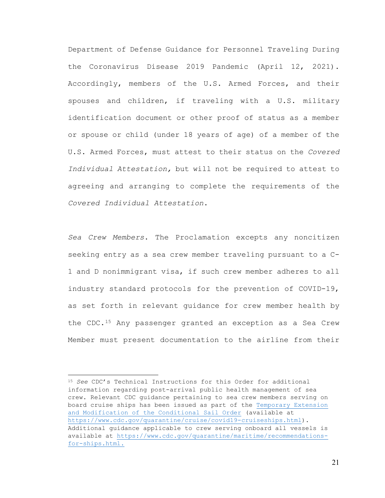Department of Defense Guidance for Personnel Traveling During the Coronavirus Disease 2019 Pandemic (April 12, 2021). Accordingly, members of the U.S. Armed Forces, and their spouses and children, if traveling with a U.S. military identification document or other proof of status as a member or spouse or child (under 18 years of age) of a member of the U.S. Armed Forces, must attest to their status on the *Covered Individual Attestation,* but will not be required to attest to agreeing and arranging to complete the requirements of the *Covered Individual Attestation*.

*Sea Crew Members*. The Proclamation excepts any noncitizen seeking entry as a sea crew member traveling pursuant to a C-1 and D nonimmigrant visa, if such crew member adheres to all industry standard protocols for the prevention of COVID-19, as set forth in relevant guidance for crew member health by the CDC.[15](#page-20-0) Any passenger granted an exception as a Sea Crew Member must present documentation to the airline from their

<span id="page-20-0"></span><sup>15</sup> *See* CDC's Technical Instructions for this Order for additional information regarding post-arrival public health management of sea crew. Relevant CDC guidance pertaining to sea crew members serving on board cruise ships has been issued as part of the Temporary Extension and Modification of the Conditional Sail Order (available at [https://www.cdc.gov/quarantine/cruise/covid19-cruiseships.html\)](https://www.cdc.gov/quarantine/cruise/covid19-cruiseships.html). Additional guidance applicable to crew serving onboard all vessels is available at [https://www.cdc.gov/quarantine/maritime/recommendations](https://www.cdc.gov/quarantine/maritime/recommendations-for-ships.html)[for-ships.html.](https://www.cdc.gov/quarantine/maritime/recommendations-for-ships.html)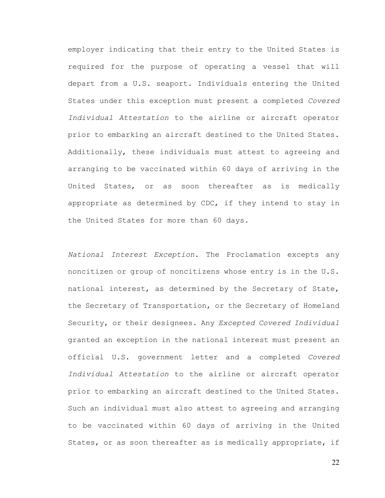employer indicating that their entry to the United States is required for the purpose of operating a vessel that will depart from a U.S. seaport. Individuals entering the United States under this exception must present a completed *Covered Individual Attestation* to the airline or aircraft operator prior to embarking an aircraft destined to the United States. Additionally, these individuals must attest to agreeing and arranging to be vaccinated within 60 days of arriving in the United States, or as soon thereafter as is medically appropriate as determined by CDC, if they intend to stay in the United States for more than 60 days.

*National Interest Exception*. The Proclamation excepts any noncitizen or group of noncitizens whose entry is in the U.S. national interest, as determined by the Secretary of State, the Secretary of Transportation, or the Secretary of Homeland Security, or their designees. Any *Excepted Covered Individual* granted an exception in the national interest must present an official U.S. government letter and a completed *Covered Individual Attestation* to the airline or aircraft operator prior to embarking an aircraft destined to the United States. Such an individual must also attest to agreeing and arranging to be vaccinated within 60 days of arriving in the United States, or as soon thereafter as is medically appropriate, if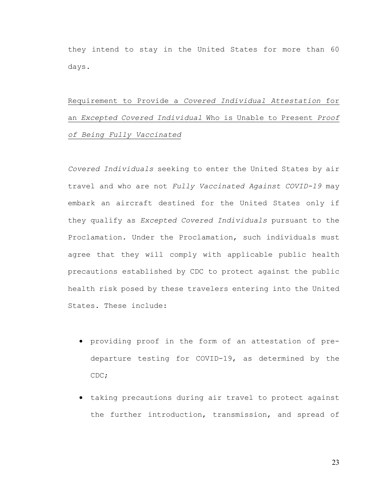they intend to stay in the United States for more than 60 days.

# Requirement to Provide a *Covered Individual Attestation* for an *Excepted Covered Individual* Who is Unable to Present *Proof of Being Fully Vaccinated*

*Covered Individuals* seeking to enter the United States by air travel and who are not *Fully Vaccinated Against COVID-19* may embark an aircraft destined for the United States only if they qualify as *Excepted Covered Individuals* pursuant to the Proclamation. Under the Proclamation, such individuals must agree that they will comply with applicable public health precautions established by CDC to protect against the public health risk posed by these travelers entering into the United States. These include:

- providing proof in the form of an attestation of predeparture testing for COVID-19, as determined by the CDC;
- taking precautions during air travel to protect against the further introduction, transmission, and spread of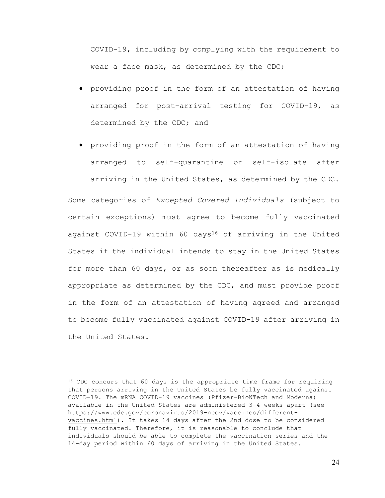COVID-19, including by complying with the requirement to wear a face mask, as determined by the CDC;

- providing proof in the form of an attestation of having arranged for post-arrival testing for COVID-19, as determined by the CDC; and
- providing proof in the form of an attestation of having arranged to self-quarantine or self-isolate after arriving in the United States, as determined by the CDC.

Some categories of *Excepted Covered Individuals* (subject to certain exceptions) must agree to become fully vaccinated against COVID-19 within 60 days<sup>[16](#page-23-0)</sup> of arriving in the United States if the individual intends to stay in the United States for more than 60 days, or as soon thereafter as is medically appropriate as determined by the CDC, and must provide proof in the form of an attestation of having agreed and arranged to become fully vaccinated against COVID-19 after arriving in the United States.

<span id="page-23-0"></span><sup>&</sup>lt;sup>16</sup> CDC concurs that 60 days is the appropriate time frame for requiring that persons arriving in the United States be fully vaccinated against COVID-19. The mRNA COVID-19 vaccines (Pfizer-BioNTech and Moderna) available in the United States are administered 3-4 weeks apart (see [https://www.cdc.gov/coronavirus/2019-ncov/vaccines/different](https://www.cdc.gov/coronavirus/2019-ncov/vaccines/different-vaccines.html)[vaccines.html\)](https://www.cdc.gov/coronavirus/2019-ncov/vaccines/different-vaccines.html). It takes 14 days after the 2nd dose to be considered fully vaccinated. Therefore, it is reasonable to conclude that individuals should be able to complete the vaccination series and the 14-day period within 60 days of arriving in the United States.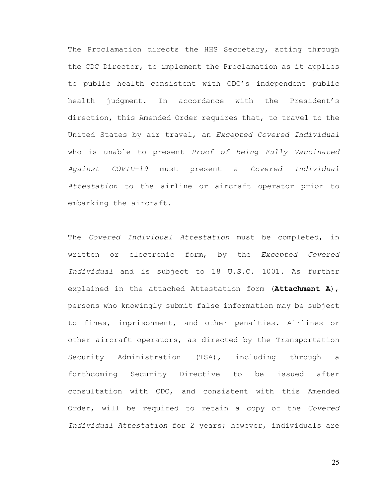The Proclamation directs the HHS Secretary, acting through the CDC Director, to implement the Proclamation as it applies to public health consistent with CDC's independent public health judgment. In accordance with the President's direction, this Amended Order requires that, to travel to the United States by air travel, an *Excepted Covered Individual* who is unable to present *Proof of Being Fully Vaccinated Against COVID-19* must present a *Covered Individual Attestation* to the airline or aircraft operator prior to embarking the aircraft.

The *Covered Individual Attestation* must be completed, in written or electronic form, by the *Excepted Covered Individual* and is subject to 18 U.S.C. 1001. As further explained in the attached Attestation form (**Attachment A**), persons who knowingly submit false information may be subject to fines, imprisonment, and other penalties. Airlines or other aircraft operators, as directed by the Transportation Security Administration (TSA), including through a forthcoming Security Directive to be issued after consultation with CDC, and consistent with this Amended Order, will be required to retain a copy of the *Covered Individual Attestation* for 2 years; however, individuals are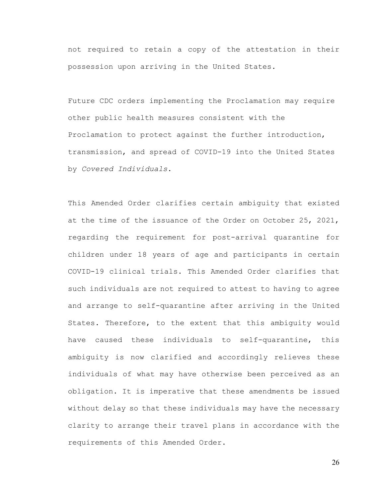not required to retain a copy of the attestation in their possession upon arriving in the United States.

Future CDC orders implementing the Proclamation may require other public health measures consistent with the Proclamation to protect against the further introduction, transmission, and spread of COVID-19 into the United States by *Covered Individuals*.

This Amended Order clarifies certain ambiguity that existed at the time of the issuance of the Order on October 25, 2021, regarding the requirement for post-arrival quarantine for children under 18 years of age and participants in certain COVID-19 clinical trials. This Amended Order clarifies that such individuals are not required to attest to having to agree and arrange to self-quarantine after arriving in the United States. Therefore, to the extent that this ambiguity would have caused these individuals to self-quarantine, this ambiguity is now clarified and accordingly relieves these individuals of what may have otherwise been perceived as an obligation. It is imperative that these amendments be issued without delay so that these individuals may have the necessary clarity to arrange their travel plans in accordance with the requirements of this Amended Order.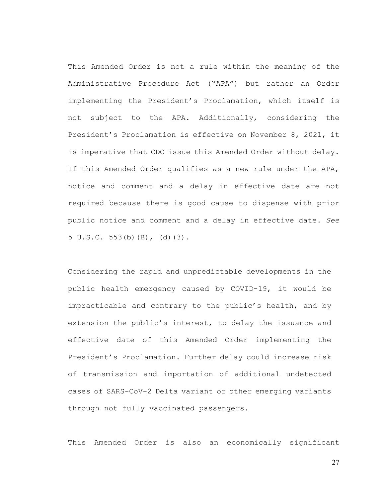This Amended Order is not a rule within the meaning of the Administrative Procedure Act ("APA") but rather an Order implementing the President's Proclamation, which itself is not subject to the APA. Additionally, considering the President's Proclamation is effective on November 8, 2021, it is imperative that CDC issue this Amended Order without delay. If this Amended Order qualifies as a new rule under the APA, notice and comment and a delay in effective date are not required because there is good cause to dispense with prior public notice and comment and a delay in effective date. *See* 5 U.S.C. 553(b)(B), (d)(3).

Considering the rapid and unpredictable developments in the public health emergency caused by COVID-19, it would be impracticable and contrary to the public's health, and by extension the public's interest, to delay the issuance and effective date of this Amended Order implementing the President's Proclamation. Further delay could increase risk of transmission and importation of additional undetected cases of SARS-CoV-2 Delta variant or other emerging variants through not fully vaccinated passengers.

This Amended Order is also an economically significant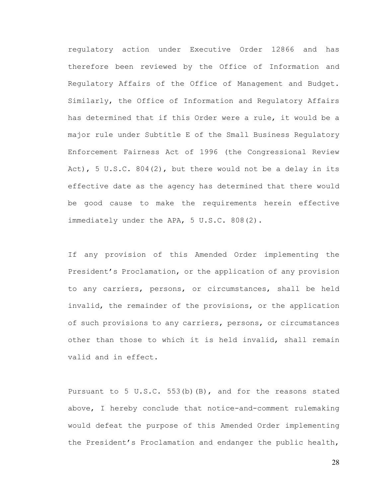regulatory action under Executive Order 12866 and has therefore been reviewed by the Office of Information and Regulatory Affairs of the Office of Management and Budget. Similarly, the Office of Information and Regulatory Affairs has determined that if this Order were a rule, it would be a major rule under Subtitle E of the Small Business Regulatory Enforcement Fairness Act of 1996 (the Congressional Review Act), 5 U.S.C. 804(2), but there would not be a delay in its effective date as the agency has determined that there would be good cause to make the requirements herein effective immediately under the APA, 5 U.S.C. 808(2).

If any provision of this Amended Order implementing the President's Proclamation, or the application of any provision to any carriers, persons, or circumstances, shall be held invalid, the remainder of the provisions, or the application of such provisions to any carriers, persons, or circumstances other than those to which it is held invalid, shall remain valid and in effect.

Pursuant to 5 U.S.C. 553(b)(B), and for the reasons stated above, I hereby conclude that notice-and-comment rulemaking would defeat the purpose of this Amended Order implementing the President's Proclamation and endanger the public health,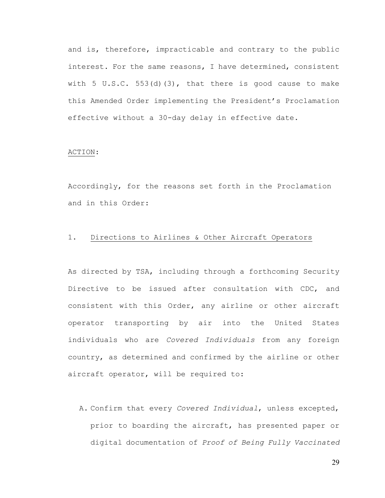and is, therefore, impracticable and contrary to the public interest. For the same reasons, I have determined, consistent with 5  $U.S.C. 553(d)(3)$ , that there is good cause to make this Amended Order implementing the President's Proclamation effective without a 30-day delay in effective date.

#### ACTION:

Accordingly, for the reasons set forth in the Proclamation and in this Order:

## 1. Directions to Airlines & Other Aircraft Operators

As directed by TSA, including through a forthcoming Security Directive to be issued after consultation with CDC, and consistent with this Order, any airline or other aircraft operator transporting by air into the United States individuals who are *Covered Individuals* from any foreign country, as determined and confirmed by the airline or other aircraft operator, will be required to:

A. Confirm that every *Covered Individual*, unless excepted, prior to boarding the aircraft, has presented paper or digital documentation of *Proof of Being Fully Vaccinated*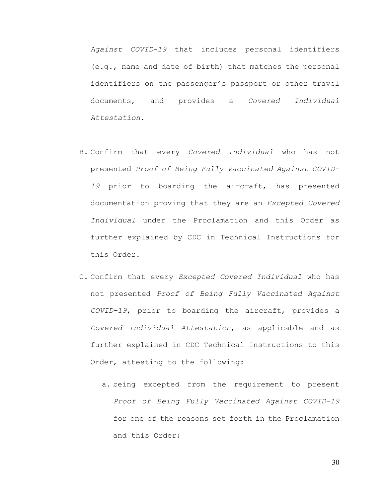*Against COVID-19* that includes personal identifiers (e.g., name and date of birth) that matches the personal identifiers on the passenger's passport or other travel documents, and provides a *Covered Individual Attestation*.

- B. Confirm that every *Covered Individual* who has not presented *Proof of Being Fully Vaccinated Against COVID-19* prior to boarding the aircraft, has presented documentation proving that they are an *Excepted Covered Individual* under the Proclamation and this Order as further explained by CDC in Technical Instructions for this Order.
- C. Confirm that every *Excepted Covered Individual* who has not presented *Proof of Being Fully Vaccinated Against COVID-19*, prior to boarding the aircraft, provides a *Covered Individual Attestation*, as applicable and as further explained in CDC Technical Instructions to this Order, attesting to the following:
	- a. being excepted from the requirement to present *Proof of Being Fully Vaccinated Against COVID-19*  for one of the reasons set forth in the Proclamation and this Order;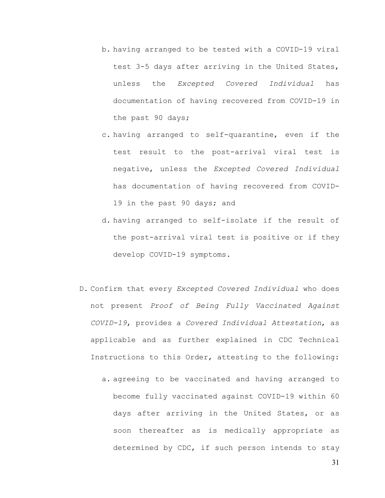- b. having arranged to be tested with a COVID-19 viral test 3-5 days after arriving in the United States, unless the *Excepted Covered Individual* has documentation of having recovered from COVID-19 in the past 90 days;
- c. having arranged to self-quarantine, even if the test result to the post-arrival viral test is negative, unless the *Excepted Covered Individual* has documentation of having recovered from COVID-19 in the past 90 days; and
- d. having arranged to self-isolate if the result of the post-arrival viral test is positive or if they develop COVID-19 symptoms.
- D. Confirm that every *Excepted Covered Individual* who does not present *Proof of Being Fully Vaccinated Against COVID-19*, provides a *Covered Individual Attestation*, as applicable and as further explained in CDC Technical Instructions to this Order, attesting to the following:
	- a. agreeing to be vaccinated and having arranged to become fully vaccinated against COVID-19 within 60 days after arriving in the United States, or as soon thereafter as is medically appropriate as determined by CDC, if such person intends to stay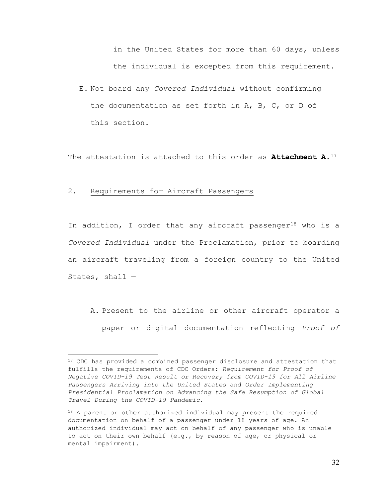in the United States for more than 60 days, unless the individual is excepted from this requirement.

E. Not board any *Covered Individual* without confirming the documentation as set forth in A, B, C, or D of this section.

The attestation is attached to this order as **Attachment A**.[17](#page-31-0)

### 2. Requirements for Aircraft Passengers

In addition, I order that any aircraft passenger<sup>[18](#page-31-1)</sup> who is a *Covered Individual* under the Proclamation, prior to boarding an aircraft traveling from a foreign country to the United States, shall  $-$ 

A. Present to the airline or other aircraft operator a paper or digital documentation reflecting *Proof of* 

<span id="page-31-0"></span><sup>&</sup>lt;sup>17</sup> CDC has provided a combined passenger disclosure and attestation that fulfills the requirements of CDC Orders: *Requirement for Proof of Negative COVID-19 Test Result or Recovery from COVID-19 for All Airline Passengers Arriving into the United States* and *Order Implementing Presidential Proclamation on Advancing the Safe Resumption of Global Travel During the COVID-19 Pandemic*.

<span id="page-31-1"></span><sup>18</sup> A parent or other authorized individual may present the required documentation on behalf of a passenger under 18 years of age. An authorized individual may act on behalf of any passenger who is unable to act on their own behalf (e.g., by reason of age, or physical or mental impairment).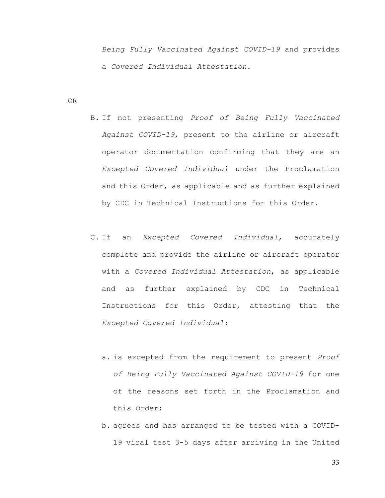*Being Fully Vaccinated Against COVID-19* and provides a *Covered Individual Attestation.*

OR

- B. If not presenting *Proof of Being Fully Vaccinated Against COVID-19*, present to the airline or aircraft operator documentation confirming that they are an *Excepted Covered Individual* under the Proclamation and this Order, as applicable and as further explained by CDC in Technical Instructions for this Order.
- C. If an *Excepted Covered Individual*, accurately complete and provide the airline or aircraft operator with a *Covered Individual Attestation*, as applicable and as further explained by CDC in Technical Instructions for this Order, attesting that the *Excepted Covered Individual*:
	- a. is excepted from the requirement to present *Proof of Being Fully Vaccinated Against COVID-19* for one of the reasons set forth in the Proclamation and this Order;
	- b. agrees and has arranged to be tested with a COVID-19 viral test 3-5 days after arriving in the United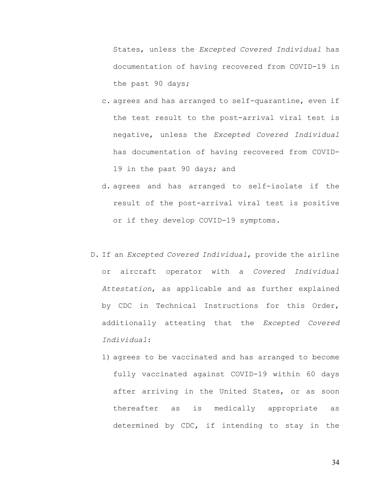States, unless the *Excepted Covered Individual* has documentation of having recovered from COVID-19 in the past 90 days;

- c. agrees and has arranged to self-quarantine, even if the test result to the post-arrival viral test is negative, unless the *Excepted Covered Individual* has documentation of having recovered from COVID-19 in the past 90 days; and
- d. agrees and has arranged to self-isolate if the result of the post-arrival viral test is positive or if they develop COVID-19 symptoms.
- D. If an *Excepted Covered Individual*, provide the airline or aircraft operator with a *Covered Individual Attestation*, as applicable and as further explained by CDC in Technical Instructions for this Order, additionally attesting that the *Excepted Covered Individual*:
	- 1) agrees to be vaccinated and has arranged to become fully vaccinated against COVID-19 within 60 days after arriving in the United States, or as soon thereafter as is medically appropriate as determined by CDC, if intending to stay in the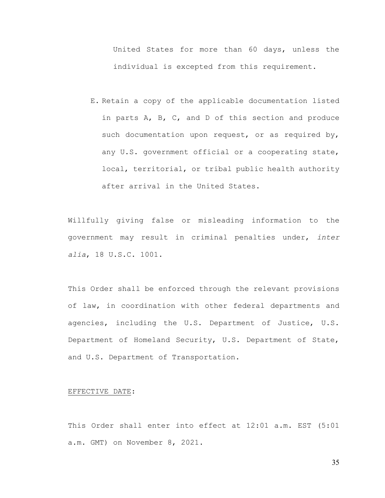United States for more than 60 days, unless the individual is excepted from this requirement.

E. Retain a copy of the applicable documentation listed in parts A, B, C, and D of this section and produce such documentation upon request, or as required by, any U.S. government official or a cooperating state, local, territorial, or tribal public health authority after arrival in the United States.

Willfully giving false or misleading information to the government may result in criminal penalties under, *inter alia*, 18 U.S.C. 1001.

This Order shall be enforced through the relevant provisions of law, in coordination with other federal departments and agencies, including the U.S. Department of Justice, U.S. Department of Homeland Security, U.S. Department of State, and U.S. Department of Transportation.

### EFFECTIVE DATE:

This Order shall enter into effect at 12:01 a.m. EST (5:01 a.m. GMT) on November 8, 2021.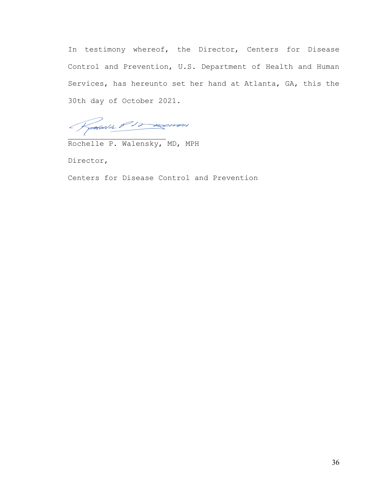In testimony whereof, the Director, Centers for Disease Control and Prevention, U.S. Department of Health and Human Services, has hereunto set her hand at Atlanta, GA, this the 30th day of October 2021.

Rodall's P12 anomon

Rochelle P. Walensky, MD, MPH

Director,

Centers for Disease Control and Prevention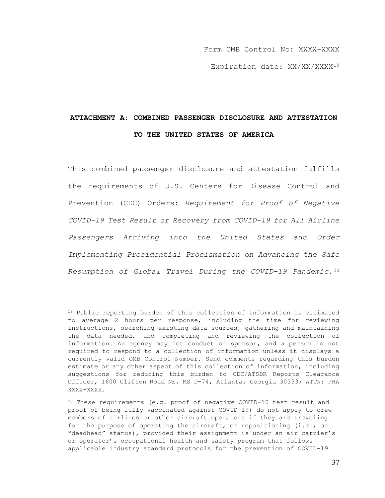Form OMB Control No: XXXX-XXXX

Expiration date: XX/XX/XXXX<sup>[19](#page-36-0)</sup>

## **ATTACHMENT A: COMBINED PASSENGER DISCLOSURE AND ATTESTATION TO THE UNITED STATES OF AMERICA**

This combined passenger disclosure and attestation fulfills the requirements of U.S. Centers for Disease Control and Prevention (CDC) Orders: *Requirement for Proof of Negative COVID-19 Test Result or Recovery from COVID-19 for All Airline Passengers Arriving into the United States* and *Order Implementing Presidential Proclamation on Advancing the Safe Resumption of Global Travel During the COVID-19 Pandemic*.[20](#page-36-1)

<span id="page-36-0"></span><sup>19</sup> Public reporting burden of this collection of information is estimated to average 2 hours per response, including the time for reviewing instructions, searching existing data sources, gathering and maintaining the data needed, and completing and reviewing the collection of information. An agency may not conduct or sponsor, and a person is not required to respond to a collection of information unless it displays a currently valid OMB Control Number. Send comments regarding this burden estimate or any other aspect of this collection of information, including suggestions for reducing this burden to CDC/ATSDR Reports Clearance Officer, 1600 Clifton Road NE, MS D-74, Atlanta, Georgia 30333; ATTN: PRA XXXX-XXXX.

<span id="page-36-1"></span><sup>20</sup> These requirements (e.g. proof of negative COVID-10 test result and proof of being fully vaccinated against COVID-19) do not apply to crew members of airlines or other aircraft operators if they are traveling for the purpose of operating the aircraft, or repositioning (i.e., on "deadhead" status), provided their assignment is under an air carrier's or operator's occupational health and safety program that follows applicable industry standard protocols for the prevention of COVID-19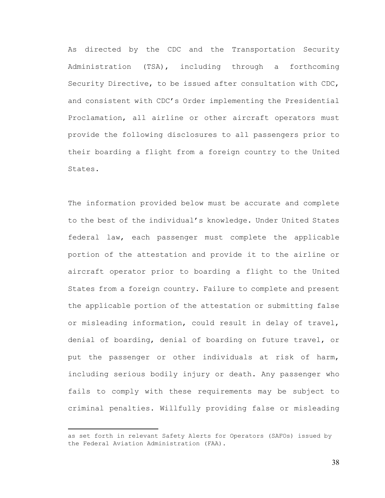As directed by the CDC and the Transportation Security Administration (TSA), including through a forthcoming Security Directive, to be issued after consultation with CDC, and consistent with CDC's Order implementing the Presidential Proclamation, all airline or other aircraft operators must provide the following disclosures to all passengers prior to their boarding a flight from a foreign country to the United States.

The information provided below must be accurate and complete to the best of the individual's knowledge. Under United States federal law, each passenger must complete the applicable portion of the attestation and provide it to the airline or aircraft operator prior to boarding a flight to the United States from a foreign country. Failure to complete and present the applicable portion of the attestation or submitting false or misleading information, could result in delay of travel, denial of boarding, denial of boarding on future travel, or put the passenger or other individuals at risk of harm, including serious bodily injury or death. Any passenger who fails to comply with these requirements may be subject to criminal penalties. Willfully providing false or misleading

as set forth in relevant Safety Alerts for Operators (SAFOs) issued by the Federal Aviation Administration (FAA).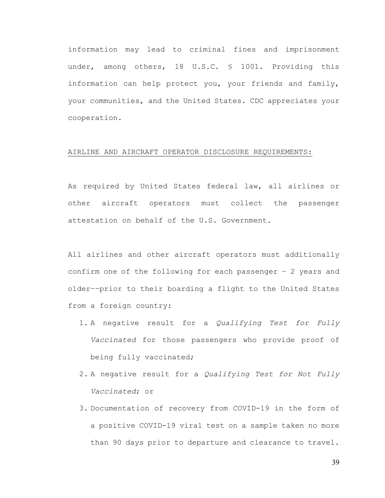information may lead to criminal fines and imprisonment under, among others, 18 U.S.C. § 1001. Providing this information can help protect you, your friends and family, your communities, and the United States. CDC appreciates your cooperation.

#### AIRLINE AND AIRCRAFT OPERATOR DISCLOSURE REQUIREMENTS:

As required by United States federal law, all airlines or other aircraft operators must collect the passenger attestation on behalf of the U.S. Government.

All airlines and other aircraft operators must additionally confirm one of the following for each passenger – 2 years and older––prior to their boarding a flight to the United States from a foreign country:

- 1. A negative result for a *Qualifying Test for Fully Vaccinated* for those passengers who provide proof of being fully vaccinated;
- 2. A negative result for a *Qualifying Test for Not Fully Vaccinated*; or
- 3. Documentation of recovery from COVID-19 in the form of a positive COVID-19 viral test on a sample taken no more than 90 days prior to departure and clearance to travel.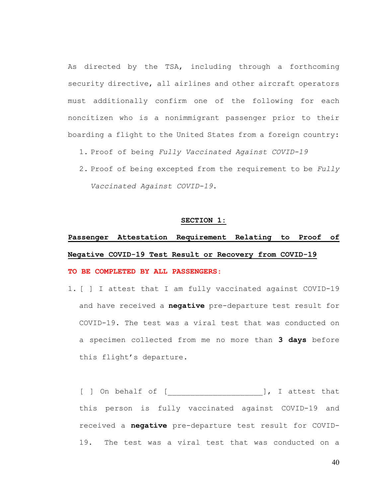As directed by the TSA, including through a forthcoming security directive, all airlines and other aircraft operators must additionally confirm one of the following for each noncitizen who is a nonimmigrant passenger prior to their boarding a flight to the United States from a foreign country:

- 1. Proof of being *Fully Vaccinated Against COVID-19*
- 2. Proof of being excepted from the requirement to be *Fully Vaccinated Against COVID-19*.

#### **SECTION 1:**

# **Passenger Attestation Requirement Relating to Proof of Negative COVID-19 Test Result or Recovery from COVID-19**

## **TO BE COMPLETED BY ALL PASSENGERS**:

1. [ ] I attest that I am fully vaccinated against COVID-19 and have received a **negative** pre-departure test result for COVID-19. The test was a viral test that was conducted on a specimen collected from me no more than **3 days** before this flight's departure.

[ ] On behalf of [\_\_\_\_\_\_\_\_\_\_\_\_\_\_\_\_\_\_\_\_\_], I attest that this person is fully vaccinated against COVID-19 and received a **negative** pre-departure test result for COVID-19. The test was a viral test that was conducted on a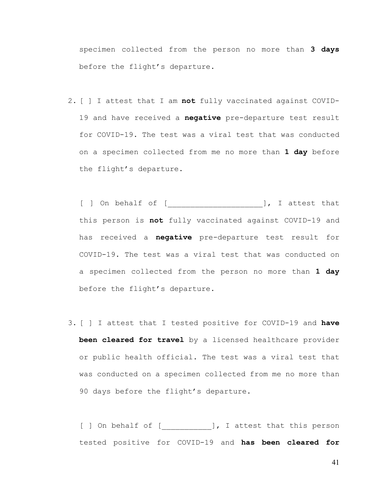specimen collected from the person no more than **3 days** before the flight's departure.

2. [ ] I attest that I am **not** fully vaccinated against COVID-19 and have received a **negative** pre-departure test result for COVID-19. The test was a viral test that was conducted on a specimen collected from me no more than **1 day** before the flight's departure.

[ ] On behalf of [\_\_\_\_\_\_\_\_\_\_\_\_\_\_\_\_\_\_\_\_\_], I attest that this person is **not** fully vaccinated against COVID-19 and has received a **negative** pre-departure test result for COVID-19. The test was a viral test that was conducted on a specimen collected from the person no more than **1 day** before the flight's departure.

3. [ ] I attest that I tested positive for COVID-19 and **have been cleared for travel** by a licensed healthcare provider or public health official. The test was a viral test that was conducted on a specimen collected from me no more than 90 days before the flight's departure.

[ ] On behalf of [ \_\_\_\_\_\_\_\_\_\_ ], I attest that this person tested positive for COVID-19 and **has been cleared for**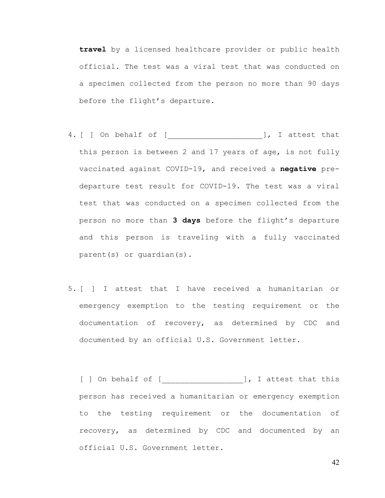**travel** by a licensed healthcare provider or public health official. The test was a viral test that was conducted on a specimen collected from the person no more than 90 days before the flight's departure.

- 4. [ ] On behalf of [\_\_\_\_\_\_\_\_\_\_\_\_\_\_\_\_\_\_\_\_\_], I attest that this person is between 2 and 17 years of age, is not fully vaccinated against COVID-19, and received a **negative** predeparture test result for COVID-19. The test was a viral test that was conducted on a specimen collected from the person no more than **3 days** before the flight's departure and this person is traveling with a fully vaccinated parent(s) or guardian(s).
- 5. [ ] I attest that I have received a humanitarian or emergency exemption to the testing requirement or the documentation of recovery, as determined by CDC and documented by an official U.S. Government letter.

[ ] On behalf of [ \_\_\_\_\_\_\_\_\_\_\_\_\_\_\_\_\_\_\_\_\_], I attest that this person has received a humanitarian or emergency exemption to the testing requirement or the documentation of recovery, as determined by CDC and documented by an official U.S. Government letter.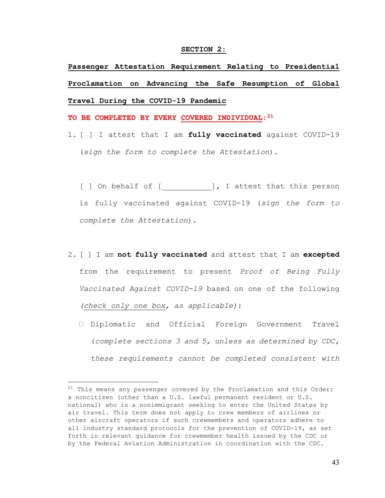#### **SECTION 2:**

**Passenger Attestation Requirement Relating to Presidential Proclamation on Advancing the Safe Resumption of Global Travel During the COVID-19 Pandemic** 

**TO BE COMPLETED BY EVERY COVERED INDIVIDUAL:[21](#page-42-0)**

1. [ ] I attest that I am **fully vaccinated** against COVID-19 (*sign the form to complete the Attestation*).

[ ] On behalf of [ \_\_\_\_\_\_\_\_\_\_\_], I attest that this person is fully vaccinated against COVID-19 (*sign the form to complete the Attestation*).

- 2. [ ] I am **not fully vaccinated** and attest that I am **excepted**  from the requirement to present *Proof of Being Fully Vaccinated Against COVID-19* based on one of the following *(check only one box, as applicable)*:
	- Diplomatic and Official Foreign Government Travel (*complete sections 3 and 5, unless as determined by CDC, these requirements cannot be completed consistent with*

<span id="page-42-0"></span> $21$  This means any passenger covered by the Proclamation and this Order: a noncitizen (other than a U.S. lawful permanent resident or U.S. national) who is a nonimmigrant seeking to enter the United States by air travel. This term does not apply to crew members of airlines or other aircraft operators if such crewmembers and operators adhere to all industry standard protocols for the prevention of COVID-19, as set forth in relevant guidance for crewmember health issued by the CDC or by the Federal Aviation Administration in coordination with the CDC.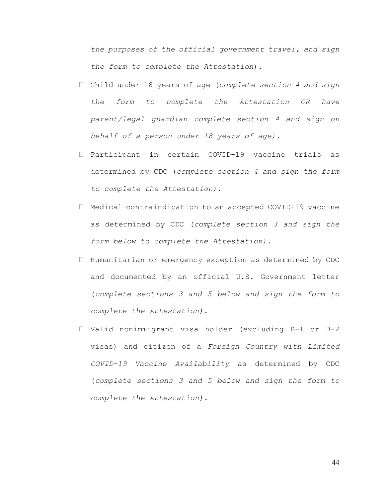*the purposes of the official government travel, and sign the form to complete the Attestation*).

- Child under 18 years of age (*complete section 4 and sign the form to complete the Attestation OR have parent/legal guardian complete section 4 and sign on behalf of a person under 18 years of age)*.
- Participant in certain COVID-19 vaccine trials as determined by CDC (*complete section 4 and sign the form to complete the Attestation)*.
- Medical contraindication to an accepted COVID-19 vaccine as determined by CDC (*complete section 3 and sign the form below to complete the Attestation)*.
- Humanitarian or emergency exception as determined by CDC and documented by an official U.S. Government letter (*complete sections 3 and 5 below and sign the form to complete the Attestation).*
- Valid nonimmigrant visa holder (excluding B-1 or B-2 visas) and citizen of a *Foreign Country with Limited COVID-19 Vaccine Availability* as determined by CDC (*complete sections 3 and 5 below and sign the form to complete the Attestation).*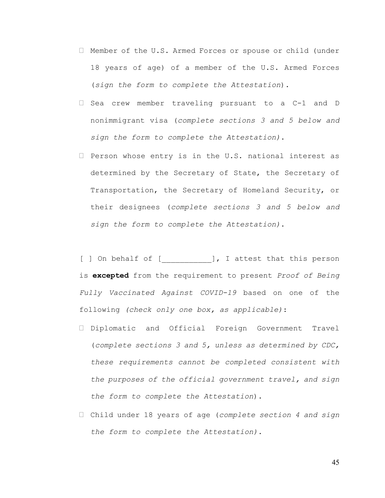- Member of the U.S. Armed Forces or spouse or child (under 18 years of age) of a member of the U.S. Armed Forces (*sign the form to complete the Attestation*).
- □ Sea crew member traveling pursuant to a C-1 and D nonimmigrant visa (*complete sections 3 and 5 below and sign the form to complete the Attestation)*.
- $\Box$  Person whose entry is in the U.S. national interest as determined by the Secretary of State, the Secretary of Transportation, the Secretary of Homeland Security, or their designees (*complete sections 3 and 5 below and sign the form to complete the Attestation)*.

[ ] On behalf of [ \_\_\_\_\_\_\_\_\_\_ ], I attest that this person is **excepted** from the requirement to present *Proof of Being Fully Vaccinated Against COVID-19* based on one of the following *(check only one box, as applicable)*:

- Diplomatic and Official Foreign Government Travel (*complete sections 3 and 5, unless as determined by CDC, these requirements cannot be completed consistent with the purposes of the official government travel, and sign the form to complete the Attestation*).
- Child under 18 years of age (*complete section 4 and sign the form to complete the Attestation)*.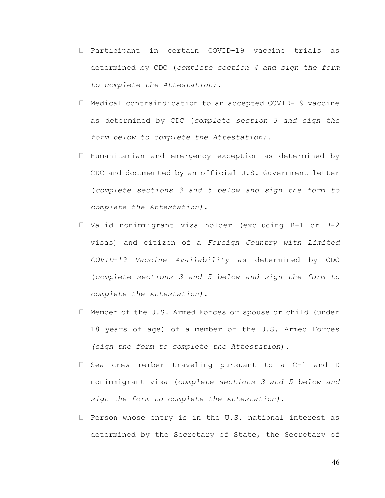- $\Box$  Participant in certain COVID-19 vaccine trials as determined by CDC (*complete section 4 and sign the form to complete the Attestation)*.
- Medical contraindication to an accepted COVID-19 vaccine as determined by CDC (*complete section 3 and sign the form below to complete the Attestation)*.
- $\Box$  Humanitarian and emergency exception as determined by CDC and documented by an official U.S. Government letter (*complete sections 3 and 5 below and sign the form to complete the Attestation).*
- Valid nonimmigrant visa holder (excluding B-1 or B-2 visas) and citizen of a *Foreign Country with Limited COVID-19 Vaccine Availability* as determined by CDC (*complete sections 3 and 5 below and sign the form to complete the Attestation).*
- Member of the U.S. Armed Forces or spouse or child (under 18 years of age) of a member of the U.S. Armed Forces *(sign the form to complete the Attestation*).
- $\Box$  Sea crew member traveling pursuant to a C-1 and D nonimmigrant visa (*complete sections 3 and 5 below and sign the form to complete the Attestation)*.
- $\Box$  Person whose entry is in the U.S. national interest as determined by the Secretary of State, the Secretary of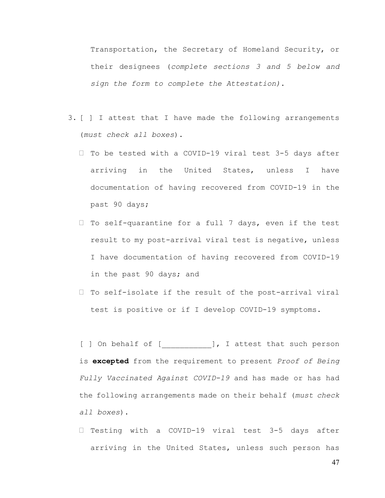Transportation, the Secretary of Homeland Security, or their designees (*complete sections 3 and 5 below and sign the form to complete the Attestation)*.

- 3. [ ] I attest that I have made the following arrangements (*must check all boxes*).
	- $\Box$  To be tested with a COVID-19 viral test 3-5 days after arriving in the United States, unless I have documentation of having recovered from COVID-19 in the past 90 days;
	- $\Box$  To self-quarantine for a full 7 days, even if the test result to my post-arrival viral test is negative, unless I have documentation of having recovered from COVID-19 in the past 90 days; and
	- $\Box$  To self-isolate if the result of the post-arrival viral test is positive or if I develop COVID-19 symptoms.

[ ] On behalf of [ ], I attest that such person is **excepted** from the requirement to present *Proof of Being Fully Vaccinated Against COVID-19* and has made or has had the following arrangements made on their behalf (*must check all boxes*).

 $\Box$  Testing with a COVID-19 viral test 3-5 days after arriving in the United States, unless such person has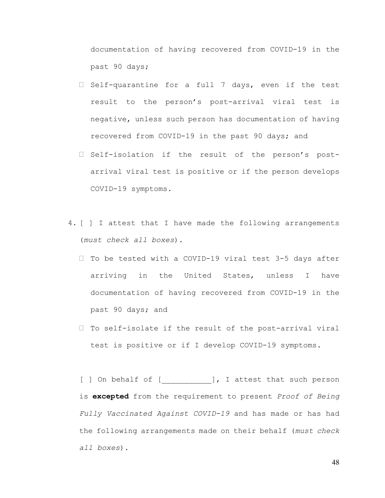documentation of having recovered from COVID-19 in the past 90 days;

- $\Box$  Self-quarantine for a full 7 days, even if the test result to the person's post-arrival viral test is negative, unless such person has documentation of having recovered from COVID-19 in the past 90 days; and
- $\Box$  Self-isolation if the result of the person's postarrival viral test is positive or if the person develops COVID-19 symptoms.
- 4. [ ] I attest that I have made the following arrangements (*must check all boxes*).
	- $\Box$  To be tested with a COVID-19 viral test 3-5 days after arriving in the United States, unless I have documentation of having recovered from COVID-19 in the past 90 days; and
	- $\Box$  To self-isolate if the result of the post-arrival viral test is positive or if I develop COVID-19 symptoms.

[ ] On behalf of [ ], I attest that such person is **excepted** from the requirement to present *Proof of Being Fully Vaccinated Against COVID-19* and has made or has had the following arrangements made on their behalf (*must check all boxes*).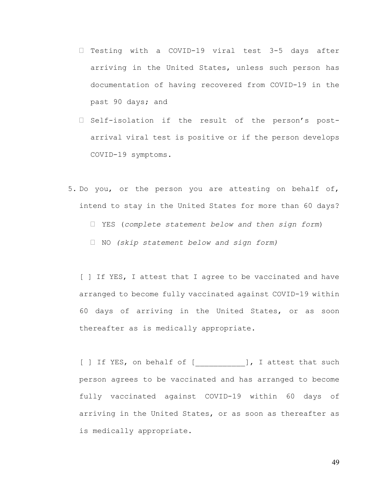- $\Box$  Testing with a COVID-19 viral test 3-5 days after arriving in the United States, unless such person has documentation of having recovered from COVID-19 in the past 90 days; and
- $\Box$  Self-isolation if the result of the person's postarrival viral test is positive or if the person develops COVID-19 symptoms.
- 5. Do you, or the person you are attesting on behalf of, intend to stay in the United States for more than 60 days? YES (*complete statement below and then sign form*) NO *(skip statement below and sign form)*

[ ] If YES, I attest that I agree to be vaccinated and have arranged to become fully vaccinated against COVID-19 within 60 days of arriving in the United States, or as soon thereafter as is medically appropriate.

[ ] If YES, on behalf of [ ], I attest that such person agrees to be vaccinated and has arranged to become fully vaccinated against COVID-19 within 60 days of arriving in the United States, or as soon as thereafter as is medically appropriate.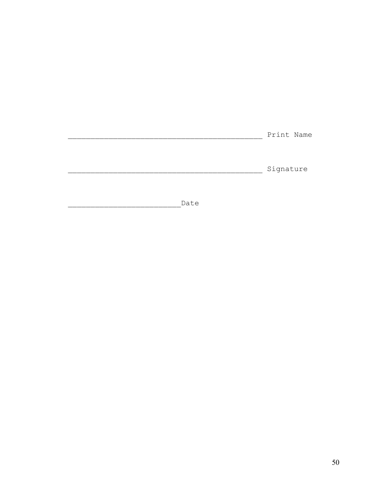| Print Name |
|------------|
|            |
|            |
| Signature  |
|            |

Date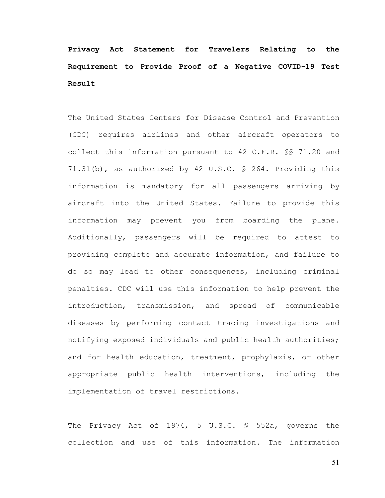**Privacy Act Statement for Travelers Relating to the Requirement to Provide Proof of a Negative COVID-19 Test Result** 

The United States Centers for Disease Control and Prevention (CDC) requires airlines and other aircraft operators to collect this information pursuant to 42 C.F.R. §§ 71.20 and 71.31(b), as authorized by 42 U.S.C. § 264. Providing this information is mandatory for all passengers arriving by aircraft into the United States. Failure to provide this information may prevent you from boarding the plane. Additionally, passengers will be required to attest to providing complete and accurate information, and failure to do so may lead to other consequences, including criminal penalties. CDC will use this information to help prevent the introduction, transmission, and spread of communicable diseases by performing contact tracing investigations and notifying exposed individuals and public health authorities; and for health education, treatment, prophylaxis, or other appropriate public health interventions, including the implementation of travel restrictions.

The Privacy Act of 1974, 5 U.S.C. § 552a, governs the collection and use of this information. The information